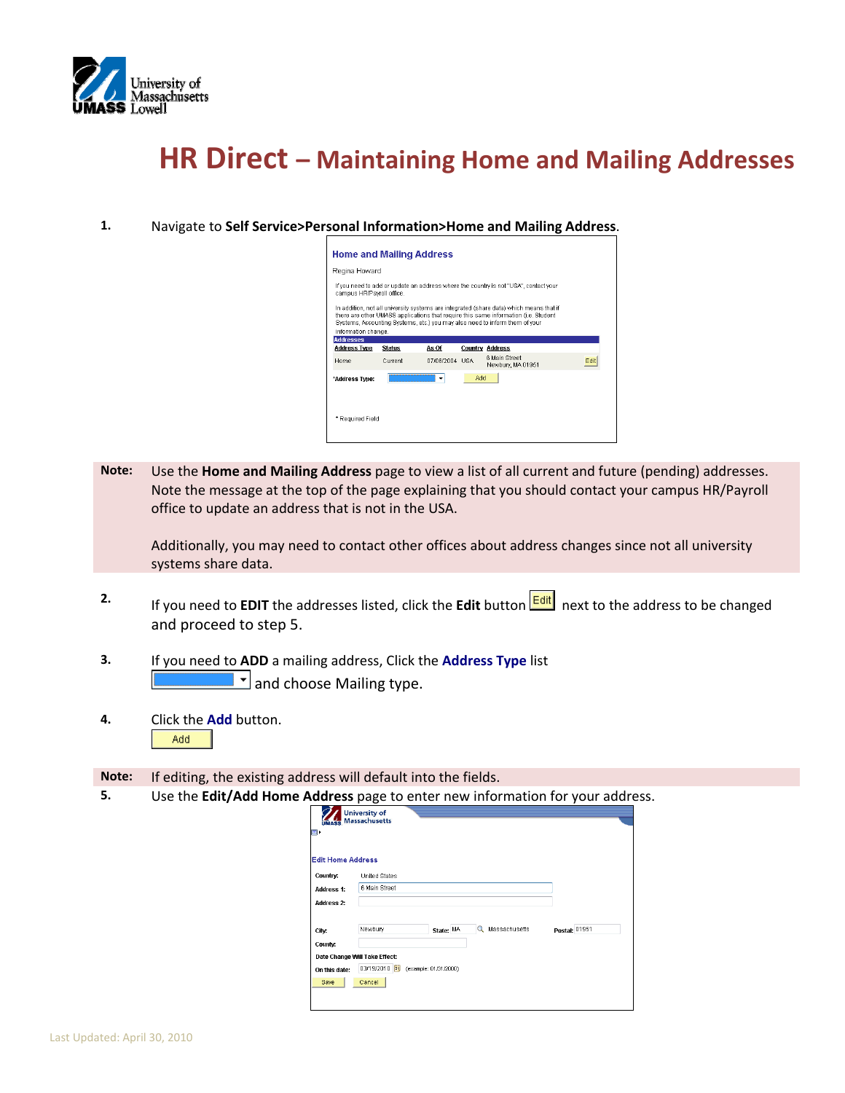

## **HR Direct – Maintaining Home and Mailing Addresses**

**1.** Navigate to **Self Service>Personal Information>Home and Mailing Address**.

| <b>Home and Mailing Address</b>                                                                                                                                                                                                                                                      |               |                |     |                                                                                      |     |  |  |  |
|--------------------------------------------------------------------------------------------------------------------------------------------------------------------------------------------------------------------------------------------------------------------------------------|---------------|----------------|-----|--------------------------------------------------------------------------------------|-----|--|--|--|
| Regina Howard                                                                                                                                                                                                                                                                        |               |                |     |                                                                                      |     |  |  |  |
| campus HR/Payroll office.                                                                                                                                                                                                                                                            |               |                |     | If you need to add or update an address where the country is not "USA", contact your |     |  |  |  |
| In addition, not all university systems are integrated (share data) which means that if<br>there are other UMASS applications that require this same information (i.e. Student<br>Systems, Accounting Systems, etc.) you may also need to inform them of your<br>information change. |               |                |     |                                                                                      |     |  |  |  |
| <b>Addresses</b><br><b>Address Type</b>                                                                                                                                                                                                                                              | <b>Status</b> | As Of          |     | Country Address                                                                      |     |  |  |  |
| Home                                                                                                                                                                                                                                                                                 | Current       | 07/06/2004 USA |     | 6 Main Street<br>Newbury, MA 01951                                                   | Fdi |  |  |  |
| "Address Type:                                                                                                                                                                                                                                                                       |               | ٠              | hhA |                                                                                      |     |  |  |  |
|                                                                                                                                                                                                                                                                                      |               |                |     |                                                                                      |     |  |  |  |

**Note:** Use the **Home and Mailing Address** page to view a list of all current and future (pending) addresses. Note the message at the top of the page explaining that you should contact your campus HR/Payroll office to update an address that is not in the USA.

Additionally, you may need to contact other offices about address changes since not all university systems share data.

- **2.** If you need to **EDIT** the addresses listed, click the **Edit** button  $\frac{[Edit]}{[Edit]}$  next to the address to be changed and proceed to step 5.
- **3.** If you need to **ADD** a mailing address, Click the **Address Type** list  $\frac{1}{\sqrt{2}}$  and choose Mailing type.
- **4.** Click the **Add** button. Add

**Note:** If editing, the existing address will default into the fields.

**5.** Use the **Edit/Add Home Address** page to enter new information for your address.

| <b>MASS</b><br>$\blacksquare$<br><b>Edit Home Address</b> | <b>University of</b><br>Massachusetts |                    |               |  |
|-----------------------------------------------------------|---------------------------------------|--------------------|---------------|--|
|                                                           |                                       |                    |               |  |
| Country:                                                  | United States                         |                    |               |  |
| <b>Address 1:</b>                                         | 6 Main Street                         |                    |               |  |
| <b>Address 2:</b>                                         |                                       |                    |               |  |
| City.                                                     | Newbury<br>State: MA                  | Q<br>Massachusetts | Postal: 01951 |  |
| County:                                                   |                                       |                    |               |  |
|                                                           | Date Change Will Take Effect:         |                    |               |  |
| On this date:                                             | 03/19/2010 回<br>(example: 01/31/2000) |                    |               |  |
| Save                                                      | Cancel                                |                    |               |  |
|                                                           |                                       |                    |               |  |
|                                                           |                                       |                    |               |  |